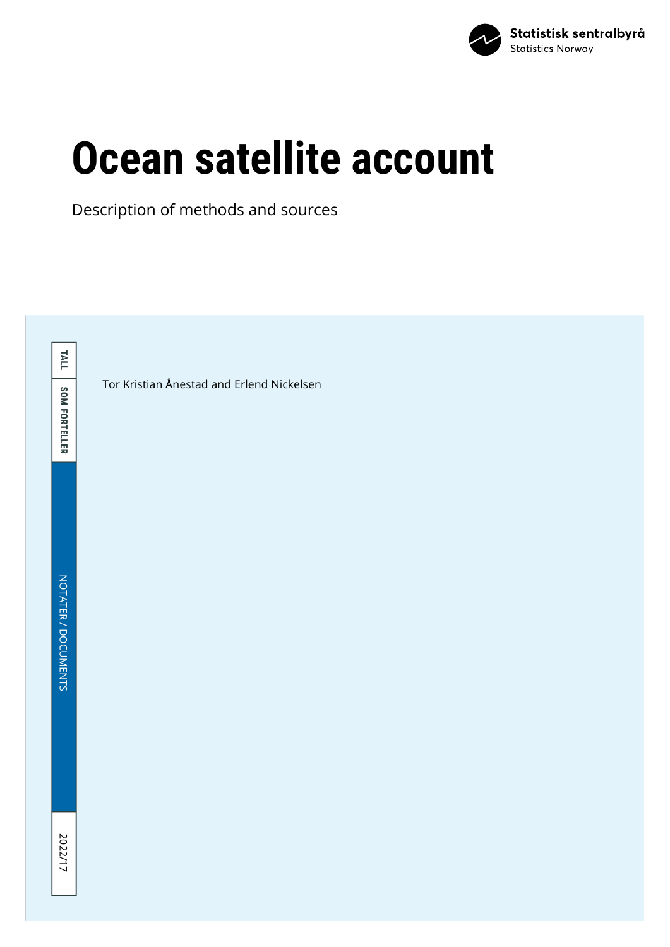

# **Ocean satellite account**

Description of methods and sources

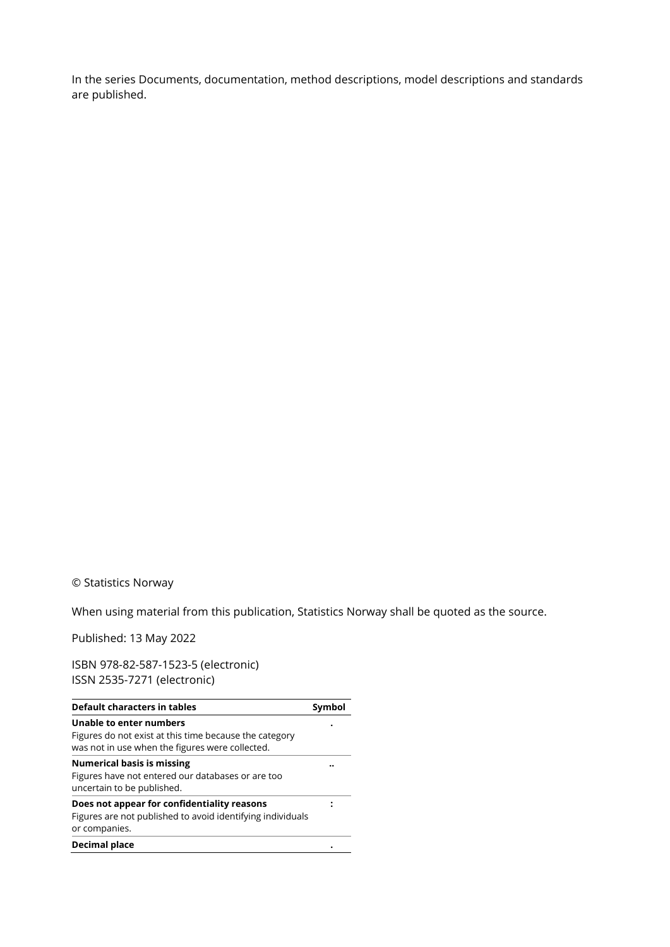In the series Documents, documentation, method descriptions, model descriptions and standards are published.

#### © Statistics Norway

When using material from this publication, Statistics Norway shall be quoted as the source.

Published: 13 May 2022

ISBN 978-82-587-1523-5 (electronic) ISSN 2535-7271 (electronic)

| Default characters in tables                                                                                               | Symbol |
|----------------------------------------------------------------------------------------------------------------------------|--------|
| Unable to enter numbers                                                                                                    |        |
| Figures do not exist at this time because the category<br>was not in use when the figures were collected.                  |        |
| <b>Numerical basis is missing</b><br>Figures have not entered our databases or are too<br>uncertain to be published.       |        |
| Does not appear for confidentiality reasons<br>Figures are not published to avoid identifying individuals<br>or companies. |        |
| Decimal place                                                                                                              |        |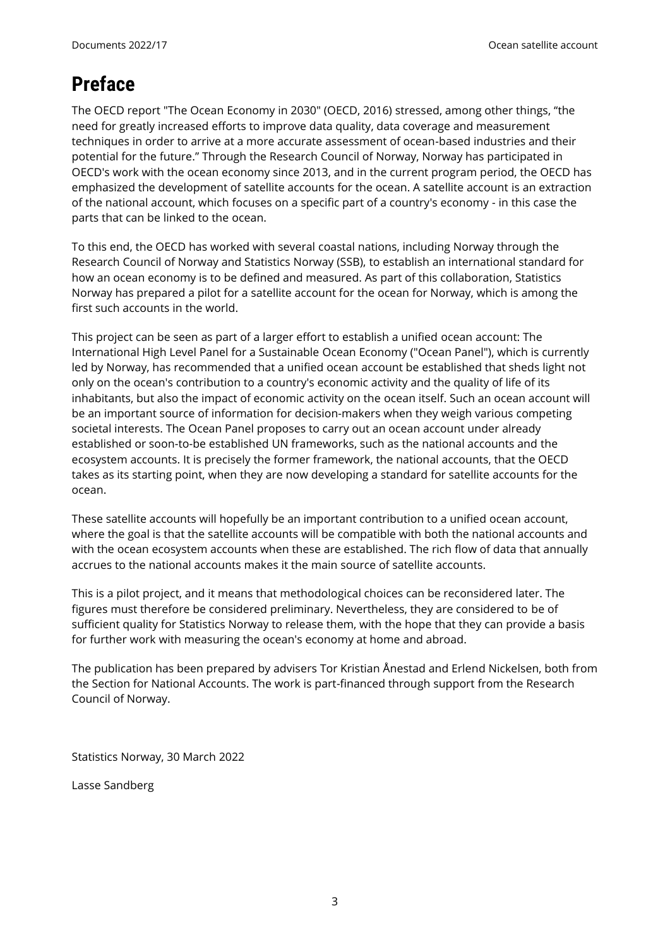# <span id="page-2-0"></span>**Preface**

The OECD report "The Ocean Economy in 2030" (OECD, 2016) stressed, among other things, "the need for greatly increased efforts to improve data quality, data coverage and measurement techniques in order to arrive at a more accurate assessment of ocean-based industries and their potential for the future." Through the Research Council of Norway, Norway has participated in OECD's work with the ocean economy since 2013, and in the current program period, the OECD has emphasized the development of satellite accounts for the ocean. A satellite account is an extraction of the national account, which focuses on a specific part of a country's economy - in this case the parts that can be linked to the ocean.

To this end, the OECD has worked with several coastal nations, including Norway through the Research Council of Norway and Statistics Norway (SSB), to establish an international standard for how an ocean economy is to be defined and measured. As part of this collaboration, Statistics Norway has prepared a pilot for a satellite account for the ocean for Norway, which is among the first such accounts in the world.

This project can be seen as part of a larger effort to establish a unified ocean account: The International High Level Panel for a Sustainable Ocean Economy ("Ocean Panel"), which is currently led by Norway, has recommended that a unified ocean account be established that sheds light not only on the ocean's contribution to a country's economic activity and the quality of life of its inhabitants, but also the impact of economic activity on the ocean itself. Such an ocean account will be an important source of information for decision-makers when they weigh various competing societal interests. The Ocean Panel proposes to carry out an ocean account under already established or soon-to-be established UN frameworks, such as the national accounts and the ecosystem accounts. It is precisely the former framework, the national accounts, that the OECD takes as its starting point, when they are now developing a standard for satellite accounts for the ocean.

These satellite accounts will hopefully be an important contribution to a unified ocean account, where the goal is that the satellite accounts will be compatible with both the national accounts and with the ocean ecosystem accounts when these are established. The rich flow of data that annually accrues to the national accounts makes it the main source of satellite accounts.

This is a pilot project, and it means that methodological choices can be reconsidered later. The figures must therefore be considered preliminary. Nevertheless, they are considered to be of sufficient quality for Statistics Norway to release them, with the hope that they can provide a basis for further work with measuring the ocean's economy at home and abroad.

The publication has been prepared by advisers Tor Kristian Ånestad and Erlend Nickelsen, both from the Section for National Accounts. The work is part-financed through support from the Research Council of Norway.

Statistics Norway, 30 March 2022

Lasse Sandberg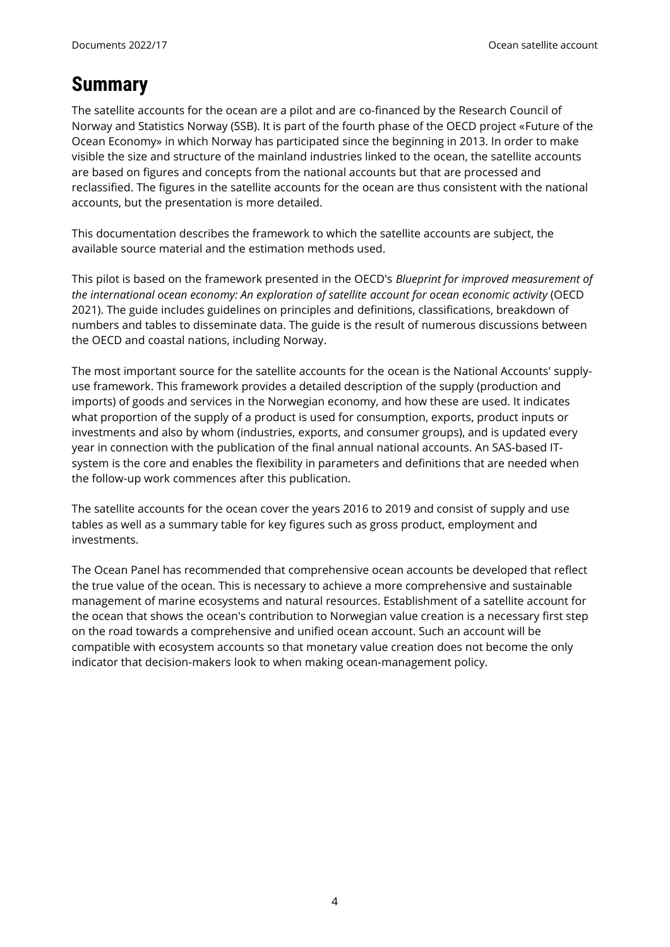## <span id="page-3-0"></span>**Summary**

The satellite accounts for the ocean are a pilot and are co-financed by the Research Council of Norway and Statistics Norway (SSB). It is part of the fourth phase of the OECD project «Future of the Ocean Economy» in which Norway has participated since the beginning in 2013. In order to make visible the size and structure of the mainland industries linked to the ocean, the satellite accounts are based on figures and concepts from the national accounts but that are processed and reclassified. The figures in the satellite accounts for the ocean are thus consistent with the national accounts, but the presentation is more detailed.

This documentation describes the framework to which the satellite accounts are subject, the available source material and the estimation methods used.

This pilot is based on the framework presented in the OECD's *Blueprint for improved measurement of the international ocean economy: An exploration of satellite account for ocean economic activity* (OECD 2021). The guide includes guidelines on principles and definitions, classifications, breakdown of numbers and tables to disseminate data. The guide is the result of numerous discussions between the OECD and coastal nations, including Norway.

The most important source for the satellite accounts for the ocean is the National Accounts' supplyuse framework. This framework provides a detailed description of the supply (production and imports) of goods and services in the Norwegian economy, and how these are used. It indicates what proportion of the supply of a product is used for consumption, exports, product inputs or investments and also by whom (industries, exports, and consumer groups), and is updated every year in connection with the publication of the final annual national accounts. An SAS-based ITsystem is the core and enables the flexibility in parameters and definitions that are needed when the follow-up work commences after this publication.

The satellite accounts for the ocean cover the years 2016 to 2019 and consist of supply and use tables as well as a summary table for key figures such as gross product, employment and investments.

The Ocean Panel has recommended that comprehensive ocean accounts be developed that reflect the true value of the ocean. This is necessary to achieve a more comprehensive and sustainable management of marine ecosystems and natural resources. Establishment of a satellite account for the ocean that shows the ocean's contribution to Norwegian value creation is a necessary first step on the road towards a comprehensive and unified ocean account. Such an account will be compatible with ecosystem accounts so that monetary value creation does not become the only indicator that decision-makers look to when making ocean-management policy.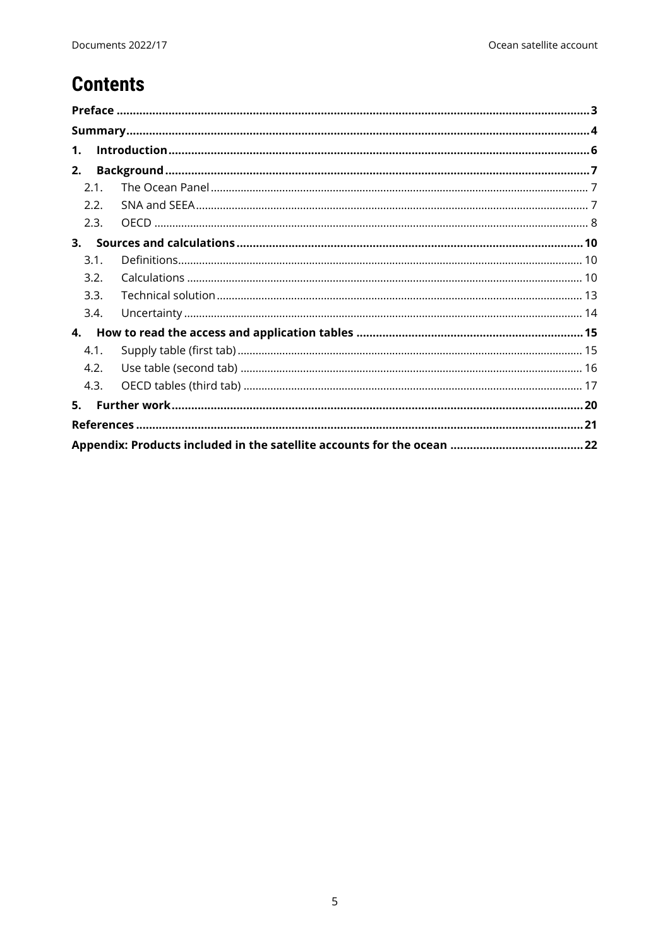# **Contents**

| $\mathbf{1}$ . |  |
|----------------|--|
| 2.             |  |
| 2.1.           |  |
| 2.2.           |  |
| 2.3.           |  |
| 3.             |  |
| 3.1.           |  |
| 3.2.           |  |
| 3.3.           |  |
| 3.4.           |  |
| $\mathbf{4}$ . |  |
| 4.1.           |  |
| 4.2.           |  |
| 4.3.           |  |
| 5.             |  |
|                |  |
|                |  |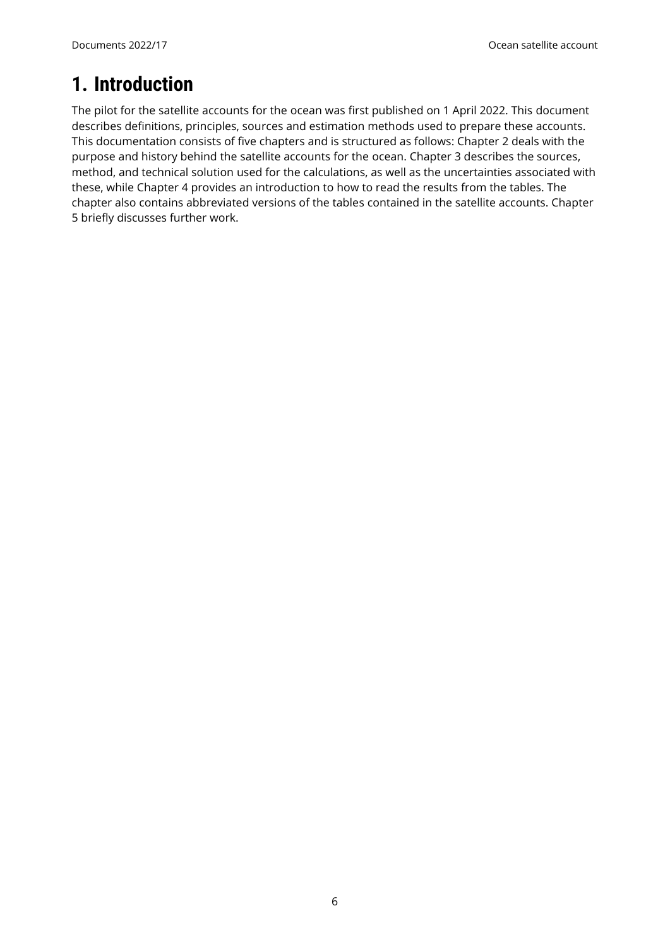# <span id="page-5-0"></span>**1. Introduction**

The pilot for the satellite accounts for the ocean was first published on 1 April 2022. This document describes definitions, principles, sources and estimation methods used to prepare these accounts. This documentation consists of five chapters and is structured as follows: Chapter 2 deals with the purpose and history behind the satellite accounts for the ocean. Chapter 3 describes the sources, method, and technical solution used for the calculations, as well as the uncertainties associated with these, while Chapter 4 provides an introduction to how to read the results from the tables. The chapter also contains abbreviated versions of the tables contained in the satellite accounts. Chapter 5 briefly discusses further work.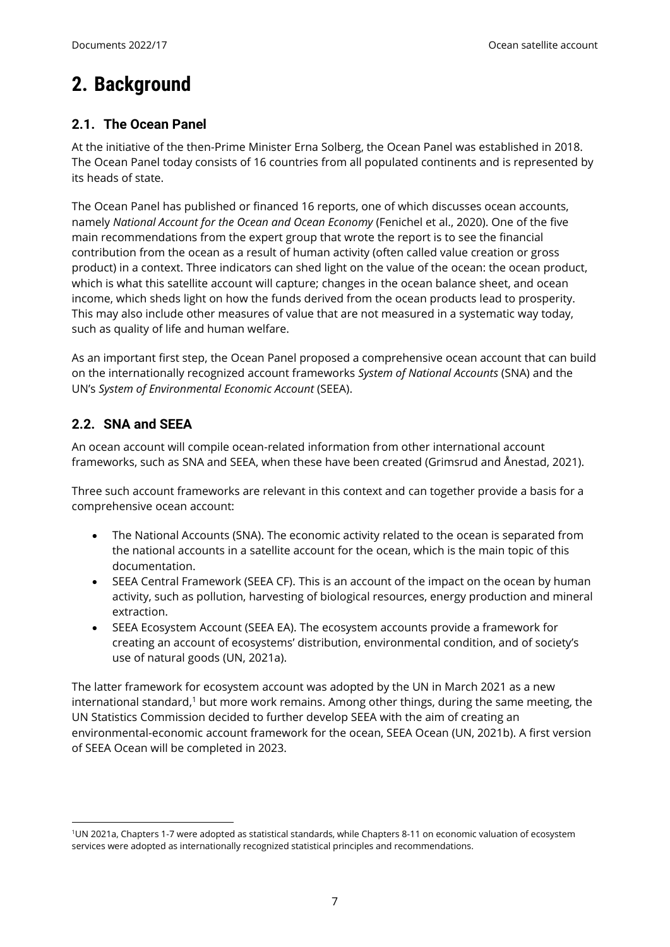# <span id="page-6-0"></span>**2. Background**

## <span id="page-6-1"></span>**2.1. The Ocean Panel**

At the initiative of the then-Prime Minister Erna Solberg, the Ocean Panel was established in 2018. The Ocean Panel today consists of 16 countries from all populated continents and is represented by its heads of state.

The Ocean Panel has published or financed 16 reports, one of which discusses ocean accounts, namely *National Account for the Ocean and Ocean Economy* (Fenichel et al., 2020). One of the five main recommendations from the expert group that wrote the report is to see the financial contribution from the ocean as a result of human activity (often called value creation or gross product) in a context. Three indicators can shed light on the value of the ocean: the ocean product, which is what this satellite account will capture; changes in the ocean balance sheet, and ocean income, which sheds light on how the funds derived from the ocean products lead to prosperity. This may also include other measures of value that are not measured in a systematic way today, such as quality of life and human welfare.

As an important first step, the Ocean Panel proposed a comprehensive ocean account that can build on the internationally recognized account frameworks *System of National Accounts* (SNA) and the UN's *System of Environmental Economic Account* (SEEA).

## <span id="page-6-2"></span>**2.2. SNA and SEEA**

 $\overline{a}$ 

An ocean account will compile ocean-related information from other international account frameworks, such as SNA and SEEA, when these have been created (Grimsrud and Ånestad, 2021).

Three such account frameworks are relevant in this context and can together provide a basis for a comprehensive ocean account:

- The National Accounts (SNA). The economic activity related to the ocean is separated from the national accounts in a satellite account for the ocean, which is the main topic of this documentation.
- SEEA Central Framework (SEEA CF). This is an account of the impact on the ocean by human activity, such as pollution, harvesting of biological resources, energy production and mineral extraction.
- SEEA Ecosystem Account (SEEA EA). The ecosystem accounts provide a framework for creating an account of ecosystems' distribution, environmental condition, and of society's use of natural goods (UN, 2021a).

The latter framework for ecosystem account was adopted by the UN in March 2021 as a new international standard,<sup>1</sup> but more work remains. Among other things, during the same meeting, the UN Statistics Commission decided to further develop SEEA with the aim of creating an environmental-economic account framework for the ocean, SEEA Ocean (UN, 2021b). A first version of SEEA Ocean will be completed in 2023.

<sup>1</sup>UN 2021a, Chapters 1-7 were adopted as statistical standards, while Chapters 8-11 on economic valuation of ecosystem services were adopted as internationally recognized statistical principles and recommendations.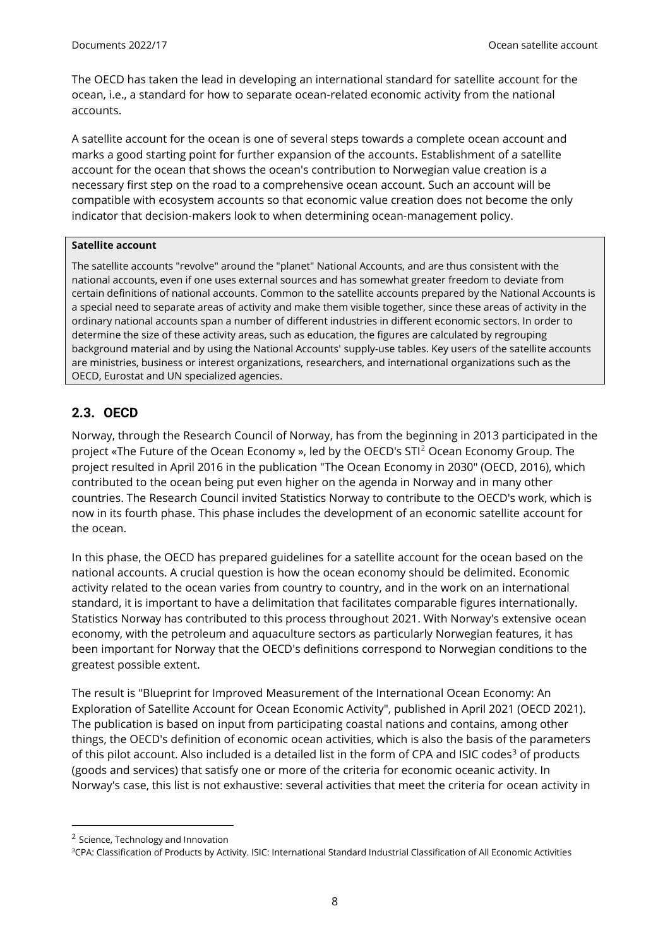The OECD has taken the lead in developing an international standard for satellite account for the ocean, i.e., a standard for how to separate ocean-related economic activity from the national accounts.

A satellite account for the ocean is one of several steps towards a complete ocean account and marks a good starting point for further expansion of the accounts. Establishment of a satellite account for the ocean that shows the ocean's contribution to Norwegian value creation is a necessary first step on the road to a comprehensive ocean account. Such an account will be compatible with ecosystem accounts so that economic value creation does not become the only indicator that decision-makers look to when determining ocean-management policy.

#### **Satellite account**

The satellite accounts "revolve" around the "planet" National Accounts, and are thus consistent with the national accounts, even if one uses external sources and has somewhat greater freedom to deviate from certain definitions of national accounts. Common to the satellite accounts prepared by the National Accounts is a special need to separate areas of activity and make them visible together, since these areas of activity in the ordinary national accounts span a number of different industries in different economic sectors. In order to determine the size of these activity areas, such as education, the figures are calculated by regrouping background material and by using the National Accounts' supply-use tables. Key users of the satellite accounts are ministries, business or interest organizations, researchers, and international organizations such as the OECD, Eurostat and UN specialized agencies.

#### <span id="page-7-0"></span>**2.3. OECD**

Norway, through the Research Council of Norway, has from the beginning in 2013 participated in the project «The Future of the Ocean Economy », led by the OECD's STI<sup>2</sup> Ocean Economy Group. The project resulted in April 2016 in the publication "The Ocean Economy in 2030" (OECD, 2016), which contributed to the ocean being put even higher on the agenda in Norway and in many other countries. The Research Council invited Statistics Norway to contribute to the OECD's work, which is now in its fourth phase. This phase includes the development of an economic satellite account for the ocean.

In this phase, the OECD has prepared guidelines for a satellite account for the ocean based on the national accounts. A crucial question is how the ocean economy should be delimited. Economic activity related to the ocean varies from country to country, and in the work on an international standard, it is important to have a delimitation that facilitates comparable figures internationally. Statistics Norway has contributed to this process throughout 2021. With Norway's extensive ocean economy, with the petroleum and aquaculture sectors as particularly Norwegian features, it has been important for Norway that the OECD's definitions correspond to Norwegian conditions to the greatest possible extent.

The result is "Blueprint for Improved Measurement of the International Ocean Economy: An Exploration of Satellite Account for Ocean Economic Activity", published in April 2021 (OECD 2021). The publication is based on input from participating coastal nations and contains, among other things, the OECD's definition of economic ocean activities, which is also the basis of the parameters of this pilot account. Also included is a detailed list in the form of CPA and ISIC codes<sup>3</sup> of products (goods and services) that satisfy one or more of the criteria for economic oceanic activity. In Norway's case, this list is not exhaustive: several activities that meet the criteria for ocean activity in

l

<sup>&</sup>lt;sup>2</sup> Science, Technology and Innovation

<sup>3</sup>CPA: Classification of Products by Activity. ISIC: International Standard Industrial Classification of All Economic Activities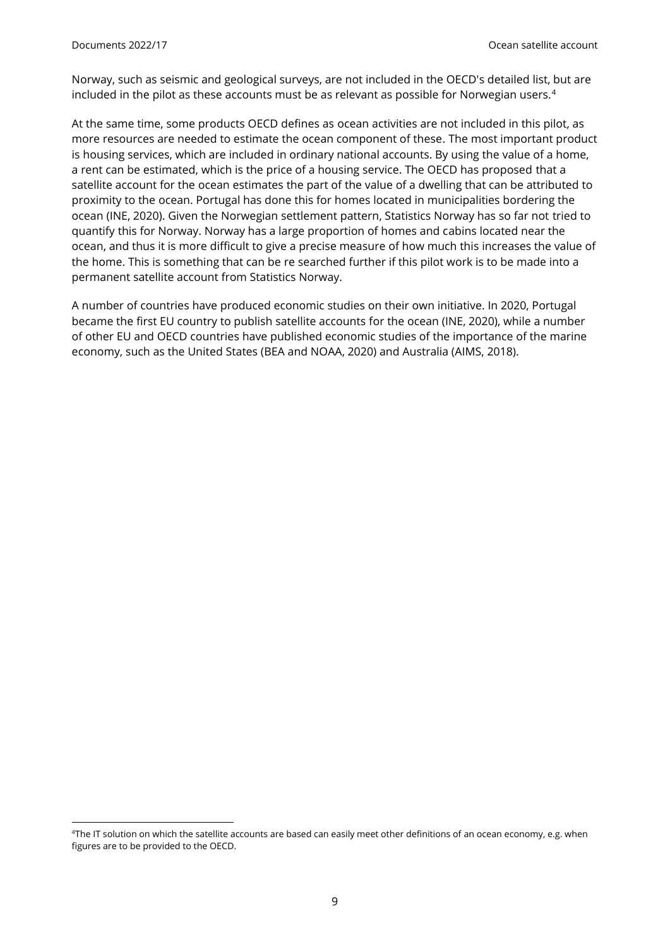$\overline{a}$ 

Norway, such as seismic and geological surveys, are not included in the OECD's detailed list, but are included in the pilot as these accounts must be as relevant as possible for Norwegian users.<sup>4</sup>

At the same time, some products OECD defines as ocean activities are not included in this pilot, as more resources are needed to estimate the ocean component of these. The most important product is housing services, which are included in ordinary national accounts. By using the value of a home, a rent can be estimated, which is the price of a housing service. The OECD has proposed that a satellite account for the ocean estimates the part of the value of a dwelling that can be attributed to proximity to the ocean. Portugal has done this for homes located in municipalities bordering the ocean (INE, 2020). Given the Norwegian settlement pattern, Statistics Norway has so far not tried to quantify this for Norway. Norway has a large proportion of homes and cabins located near the ocean, and thus it is more difficult to give a precise measure of how much this increases the value of the home. This is something that can be re searched further if this pilot work is to be made into a permanent satellite account from Statistics Norway.

A number of countries have produced economic studies on their own initiative. In 2020, Portugal became the first EU country to publish satellite accounts for the ocean (INE, 2020), while a number of other EU and OECD countries have published economic studies of the importance of the marine economy, such as the United States (BEA and NOAA, 2020) and Australia (AIMS, 2018).

<sup>&</sup>lt;sup>4</sup>The IT solution on which the satellite accounts are based can easily meet other definitions of an ocean economy, e.g. when figures are to be provided to the OECD.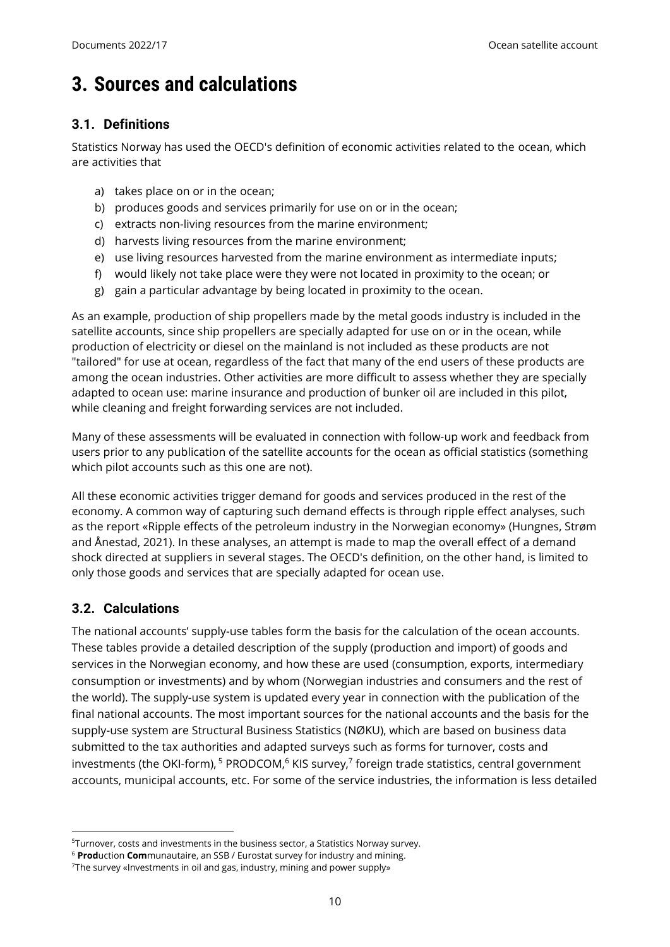# <span id="page-9-0"></span>**3. Sources and calculations**

## <span id="page-9-1"></span>**3.1. Definitions**

Statistics Norway has used the OECD's definition of economic activities related to the ocean, which are activities that

- a) takes place on or in the ocean;
- b) produces goods and services primarily for use on or in the ocean;
- c) extracts non-living resources from the marine environment;
- d) harvests living resources from the marine environment;
- e) use living resources harvested from the marine environment as intermediate inputs;
- f) would likely not take place were they were not located in proximity to the ocean; or
- g) gain a particular advantage by being located in proximity to the ocean.

As an example, production of ship propellers made by the metal goods industry is included in the satellite accounts, since ship propellers are specially adapted for use on or in the ocean, while production of electricity or diesel on the mainland is not included as these products are not "tailored" for use at ocean, regardless of the fact that many of the end users of these products are among the ocean industries. Other activities are more difficult to assess whether they are specially adapted to ocean use: marine insurance and production of bunker oil are included in this pilot, while cleaning and freight forwarding services are not included.

Many of these assessments will be evaluated in connection with follow-up work and feedback from users prior to any publication of the satellite accounts for the ocean as official statistics (something which pilot accounts such as this one are not).

All these economic activities trigger demand for goods and services produced in the rest of the economy. A common way of capturing such demand effects is through ripple effect analyses, such as the report «Ripple effects of the petroleum industry in the Norwegian economy» (Hungnes, Strøm and Ånestad, 2021). In these analyses, an attempt is made to map the overall effect of a demand shock directed at suppliers in several stages. The OECD's definition, on the other hand, is limited to only those goods and services that are specially adapted for ocean use.

### <span id="page-9-2"></span>**3.2. Calculations**

 $\overline{a}$ 

The national accounts' supply-use tables form the basis for the calculation of the ocean accounts. These tables provide a detailed description of the supply (production and import) of goods and services in the Norwegian economy, and how these are used (consumption, exports, intermediary consumption or investments) and by whom (Norwegian industries and consumers and the rest of the world). The supply-use system is updated every year in connection with the publication of the final national accounts. The most important sources for the national accounts and the basis for the supply-use system are Structural Business Statistics (NØKU), which are based on business data submitted to the tax authorities and adapted surveys such as forms for turnover, costs and investments (the OKI-form), <sup>5</sup> PRODCOM, <sup>6</sup> KIS survey,<sup>7</sup> foreign trade statistics, central government accounts, municipal accounts, etc. For some of the service industries, the information is less detailed

<sup>&</sup>lt;sup>5</sup>Turnover, costs and investments in the business sector, a Statistics Norway survey.

<sup>6</sup> **Prod**uction **Com**munautaire, an SSB / Eurostat survey for industry and mining.

<sup>&</sup>lt;sup>7</sup>The survey «Investments in oil and gas, industry, mining and power supply»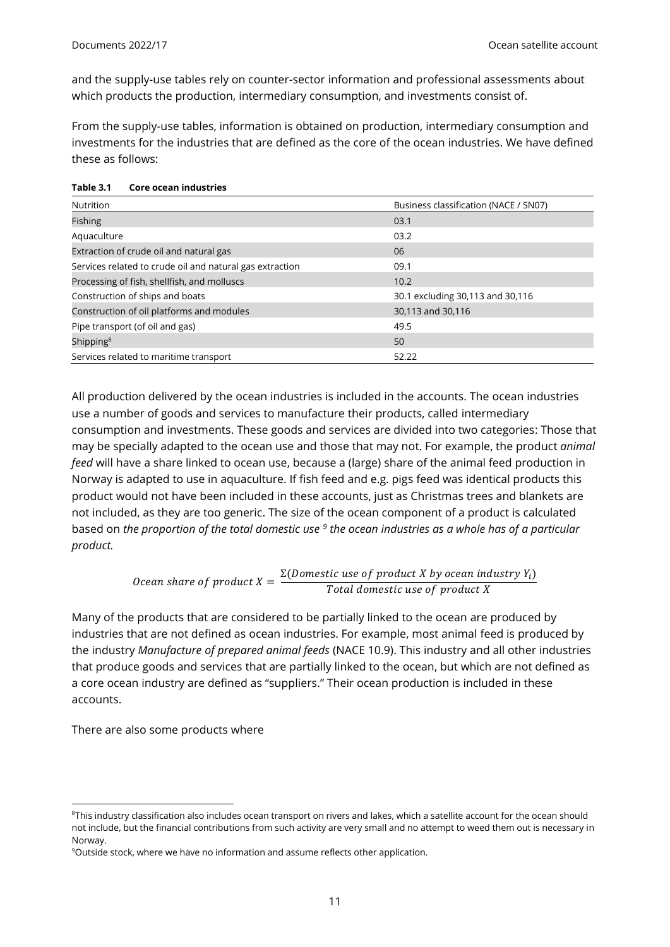and the supply-use tables rely on counter-sector information and professional assessments about which products the production, intermediary consumption, and investments consist of.

From the supply-use tables, information is obtained on production, intermediary consumption and investments for the industries that are defined as the core of the ocean industries. We have defined these as follows:

| Nutrition                                                | Business classification (NACE / SN07) |
|----------------------------------------------------------|---------------------------------------|
| <b>Fishing</b>                                           | 03.1                                  |
| Aquaculture                                              | 03.2                                  |
| Extraction of crude oil and natural gas                  | 06                                    |
| Services related to crude oil and natural gas extraction | 09.1                                  |
| Processing of fish, shellfish, and molluscs              | 10.2                                  |
| Construction of ships and boats                          | 30.1 excluding 30,113 and 30,116      |
| Construction of oil platforms and modules                | 30,113 and 30,116                     |
| Pipe transport (of oil and gas)                          | 49.5                                  |
| Shipping <sup>8</sup>                                    | 50                                    |
| Services related to maritime transport                   | 52.22                                 |

| Table 3.1 | <b>Core ocean industries</b> |  |
|-----------|------------------------------|--|
|-----------|------------------------------|--|

All production delivered by the ocean industries is included in the accounts. The ocean industries use a number of goods and services to manufacture their products, called intermediary consumption and investments. These goods and services are divided into two categories: Those that may be specially adapted to the ocean use and those that may not. For example, the product *animal feed* will have a share linked to ocean use, because a (large) share of the animal feed production in Norway is adapted to use in aquaculture. If fish feed and e.g. pigs feed was identical products this product would not have been included in these accounts, just as Christmas trees and blankets are not included, as they are too generic. The size of the ocean component of a product is calculated based on *the proportion of the total domestic use <sup>9</sup> the ocean industries as a whole has of a particular product.*

> *Ocean share of product*  $X = \frac{\Sigma(Domestic\ use\ of\ product\ X\ by\ ocean\ industry\ Y_i)}{\Sigma(t_1)$ Total domestic use of product X

Many of the products that are considered to be partially linked to the ocean are produced by industries that are not defined as ocean industries. For example, most animal feed is produced by the industry *Manufacture of prepared animal feeds* (NACE 10.9). This industry and all other industries that produce goods and services that are partially linked to the ocean, but which are not defined as a core ocean industry are defined as "suppliers." Their ocean production is included in these accounts.

There are also some products where

l

<sup>&</sup>lt;sup>8</sup>This industry classification also includes ocean transport on rivers and lakes, which a satellite account for the ocean should not include, but the financial contributions from such activity are very small and no attempt to weed them out is necessary in Norway.

<sup>&</sup>lt;sup>9</sup>Outside stock, where we have no information and assume reflects other application.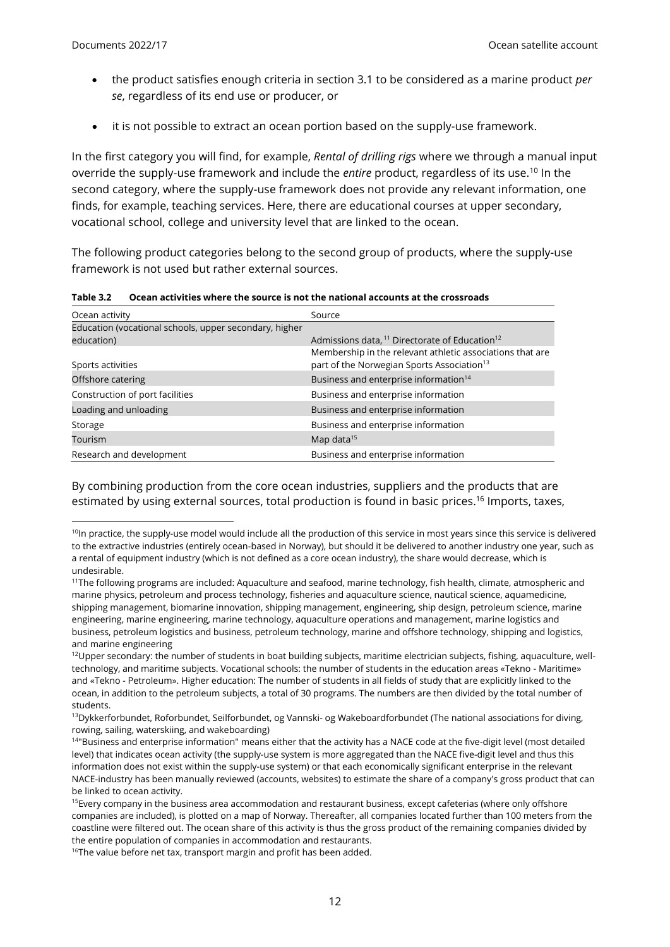$\overline{a}$ 

- the product satisfies enough criteria in section 3.1 to be considered as a marine product *per se*, regardless of its end use or producer, or
- it is not possible to extract an ocean portion based on the supply-use framework.

In the first category you will find, for example, *Rental of drilling rigs* where we through a manual input override the supply-use framework and include the *entire* product, regardless of its use.<sup>10</sup> In the second category, where the supply-use framework does not provide any relevant information, one finds, for example, teaching services. Here, there are educational courses at upper secondary, vocational school, college and university level that are linked to the ocean.

The following product categories belong to the second group of products, where the supply-use framework is not used but rather external sources.

| Table 3.2 | Ocean activities where the source is not the national accounts at the crossroads |
|-----------|----------------------------------------------------------------------------------|
|-----------|----------------------------------------------------------------------------------|

| Ocean activity                                         | Source                                                                                                              |
|--------------------------------------------------------|---------------------------------------------------------------------------------------------------------------------|
| Education (vocational schools, upper secondary, higher |                                                                                                                     |
| education)                                             | Admissions data, <sup>11</sup> Directorate of Education <sup>12</sup>                                               |
| Sports activities                                      | Membership in the relevant athletic associations that are<br>part of the Norwegian Sports Association <sup>13</sup> |
| Offshore catering                                      | Business and enterprise information <sup>14</sup>                                                                   |
| Construction of port facilities                        | Business and enterprise information                                                                                 |
| Loading and unloading                                  | Business and enterprise information                                                                                 |
| Storage                                                | Business and enterprise information                                                                                 |
| Tourism                                                | Map data $15$                                                                                                       |
| Research and development                               | Business and enterprise information                                                                                 |

By combining production from the core ocean industries, suppliers and the products that are estimated by using external sources, total production is found in basic prices. <sup>16</sup> Imports, taxes,

 $10$ In practice, the supply-use model would include all the production of this service in most years since this service is delivered to the extractive industries (entirely ocean-based in Norway), but should it be delivered to another industry one year, such as a rental of equipment industry (which is not defined as a core ocean industry), the share would decrease, which is undesirable.

<sup>&</sup>lt;sup>11</sup>The following programs are included: Aquaculture and seafood, marine technology, fish health, climate, atmospheric and marine physics, petroleum and process technology, fisheries and aquaculture science, nautical science, aquamedicine, shipping management, biomarine innovation, shipping management, engineering, ship design, petroleum science, marine engineering, marine engineering, marine technology, aquaculture operations and management, marine logistics and business, petroleum logistics and business, petroleum technology, marine and offshore technology, shipping and logistics, and marine engineering

<sup>&</sup>lt;sup>12</sup>Upper secondary: the number of students in boat building subjects, maritime electrician subjects, fishing, aquaculture, welltechnology, and maritime subjects. Vocational schools: the number of students in the education areas «Tekno - Maritime» and «Tekno - Petroleum». Higher education: The number of students in all fields of study that are explicitly linked to the ocean, in addition to the petroleum subjects, a total of 30 programs. The numbers are then divided by the total number of students.

<sup>&</sup>lt;sup>13</sup>Dykkerforbundet, Roforbundet, Seilforbundet, og Vannski- og Wakeboardforbundet (The national associations for diving, rowing, sailing, waterskiing, and wakeboarding)

<sup>&</sup>lt;sup>14</sup>"Business and enterprise information" means either that the activity has a NACE code at the five-digit level (most detailed level) that indicates ocean activity (the supply-use system is more aggregated than the NACE five-digit level and thus this information does not exist within the supply-use system) or that each economically significant enterprise in the relevant NACE-industry has been manually reviewed (accounts, websites) to estimate the share of a company's gross product that can be linked to ocean activity.

<sup>&</sup>lt;sup>15</sup>Every company in the business area accommodation and restaurant business, except cafeterias (where only offshore companies are included), is plotted on a map of Norway. Thereafter, all companies located further than 100 meters from the coastline were filtered out. The ocean share of this activity is thus the gross product of the remaining companies divided by the entire population of companies in accommodation and restaurants.

<sup>&</sup>lt;sup>16</sup>The value before net tax, transport margin and profit has been added.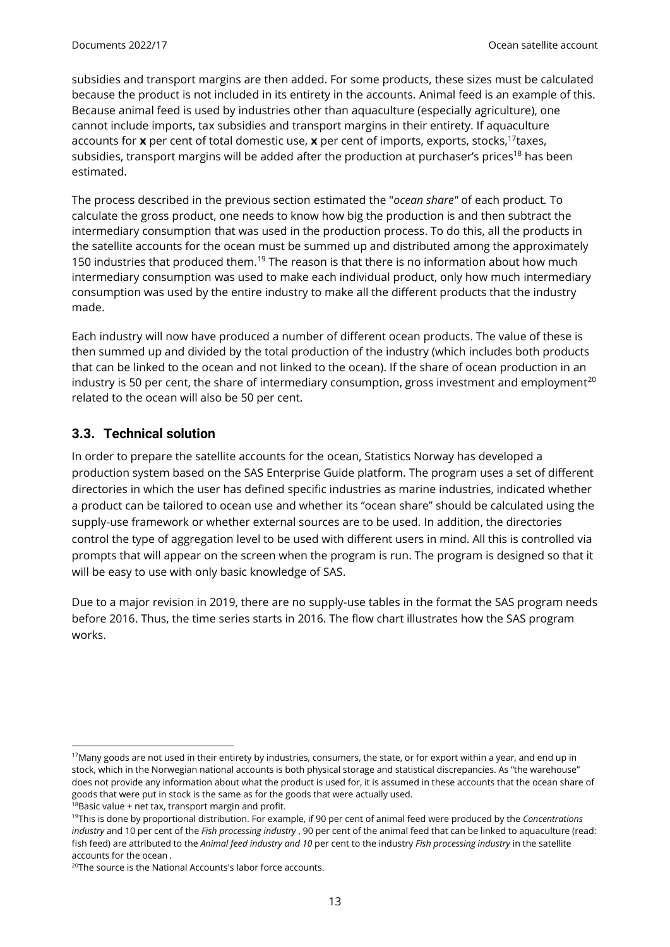subsidies and transport margins are then added. For some products, these sizes must be calculated because the product is not included in its entirety in the accounts. Animal feed is an example of this. Because animal feed is used by industries other than aquaculture (especially agriculture), one cannot include imports, tax subsidies and transport margins in their entirety. If aquaculture accounts for **x** per cent of total domestic use, **x** per cent of imports, exports, stocks,<sup>17</sup>taxes, subsidies, transport margins will be added after the production at purchaser's prices<sup>18</sup> has been estimated.

The process described in the previous section estimated the "*ocean share"* of each product*.* To calculate the gross product, one needs to know how big the production is and then subtract the intermediary consumption that was used in the production process. To do this, all the products in the satellite accounts for the ocean must be summed up and distributed among the approximately 150 industries that produced them.<sup>19</sup> The reason is that there is no information about how much intermediary consumption was used to make each individual product, only how much intermediary consumption was used by the entire industry to make all the different products that the industry made.

Each industry will now have produced a number of different ocean products. The value of these is then summed up and divided by the total production of the industry (which includes both products that can be linked to the ocean and not linked to the ocean). If the share of ocean production in an industry is 50 per cent, the share of intermediary consumption, gross investment and employment<sup>20</sup> related to the ocean will also be 50 per cent.

## <span id="page-12-0"></span>**3.3. Technical solution**

In order to prepare the satellite accounts for the ocean, Statistics Norway has developed a production system based on the SAS Enterprise Guide platform. The program uses a set of different directories in which the user has defined specific industries as marine industries, indicated whether a product can be tailored to ocean use and whether its "ocean share" should be calculated using the supply-use framework or whether external sources are to be used. In addition, the directories control the type of aggregation level to be used with different users in mind. All this is controlled via prompts that will appear on the screen when the program is run. The program is designed so that it will be easy to use with only basic knowledge of SAS.

Due to a major revision in 2019, there are no supply-use tables in the format the SAS program needs before 2016. Thus, the time series starts in 2016. The flow chart illustrates how the SAS program works.

l

 $17$ Many goods are not used in their entirety by industries, consumers, the state, or for export within a year, and end up in stock, which in the Norwegian national accounts is both physical storage and statistical discrepancies. As "the warehouse" does not provide any information about what the product is used for, it is assumed in these accounts that the ocean share of goods that were put in stock is the same as for the goods that were actually used.

 $18$ Basic value + net tax, transport margin and profit.

<sup>19</sup>This is done by proportional distribution. For example, if 90 per cent of animal feed were produced by the *Concentrations industry* and 10 per cent of the *Fish processing industry* , 90 per cent of the animal feed that can be linked to aquaculture (read: fish feed) are attributed to the *Animal feed industry and 10* per cent to the industry *Fish processing industry* in the satellite accounts for the ocean *.*

<sup>&</sup>lt;sup>20</sup>The source is the National Accounts's labor force accounts.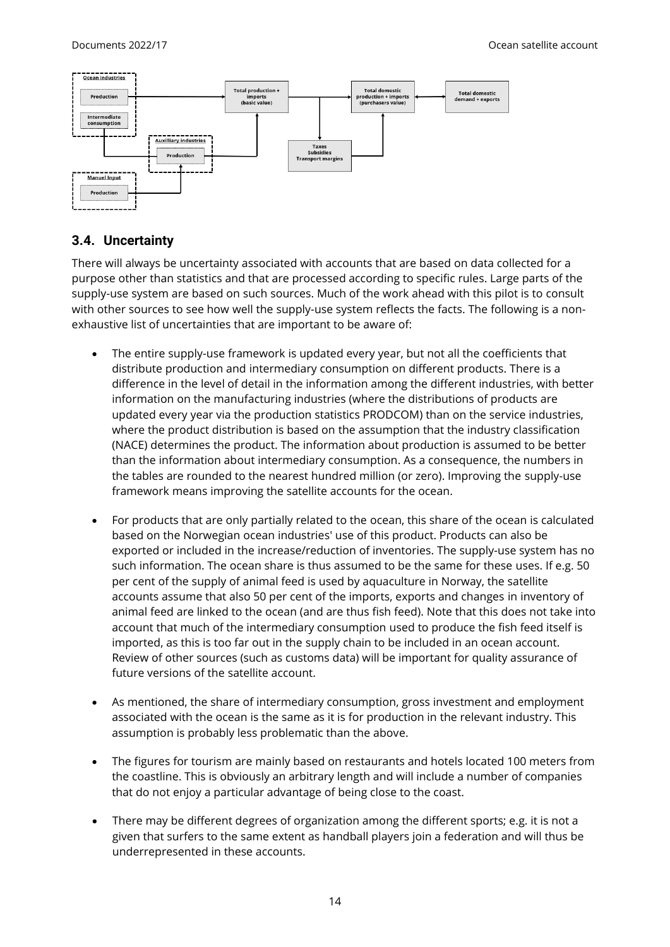

#### <span id="page-13-0"></span>**3.4. Uncertainty**

There will always be uncertainty associated with accounts that are based on data collected for a purpose other than statistics and that are processed according to specific rules. Large parts of the supply-use system are based on such sources. Much of the work ahead with this pilot is to consult with other sources to see how well the supply-use system reflects the facts. The following is a nonexhaustive list of uncertainties that are important to be aware of:

- The entire supply-use framework is updated every year, but not all the coefficients that distribute production and intermediary consumption on different products. There is a difference in the level of detail in the information among the different industries, with better information on the manufacturing industries (where the distributions of products are updated every year via the production statistics PRODCOM) than on the service industries, where the product distribution is based on the assumption that the industry classification (NACE) determines the product. The information about production is assumed to be better than the information about intermediary consumption. As a consequence, the numbers in the tables are rounded to the nearest hundred million (or zero). Improving the supply-use framework means improving the satellite accounts for the ocean.
- For products that are only partially related to the ocean, this share of the ocean is calculated based on the Norwegian ocean industries' use of this product. Products can also be exported or included in the increase/reduction of inventories. The supply-use system has no such information. The ocean share is thus assumed to be the same for these uses. If e.g. 50 per cent of the supply of animal feed is used by aquaculture in Norway, the satellite accounts assume that also 50 per cent of the imports, exports and changes in inventory of animal feed are linked to the ocean (and are thus fish feed). Note that this does not take into account that much of the intermediary consumption used to produce the fish feed itself is imported, as this is too far out in the supply chain to be included in an ocean account. Review of other sources (such as customs data) will be important for quality assurance of future versions of the satellite account.
- As mentioned, the share of intermediary consumption, gross investment and employment associated with the ocean is the same as it is for production in the relevant industry. This assumption is probably less problematic than the above.
- The figures for tourism are mainly based on restaurants and hotels located 100 meters from the coastline. This is obviously an arbitrary length and will include a number of companies that do not enjoy a particular advantage of being close to the coast.
- There may be different degrees of organization among the different sports; e.g. it is not a given that surfers to the same extent as handball players join a federation and will thus be underrepresented in these accounts.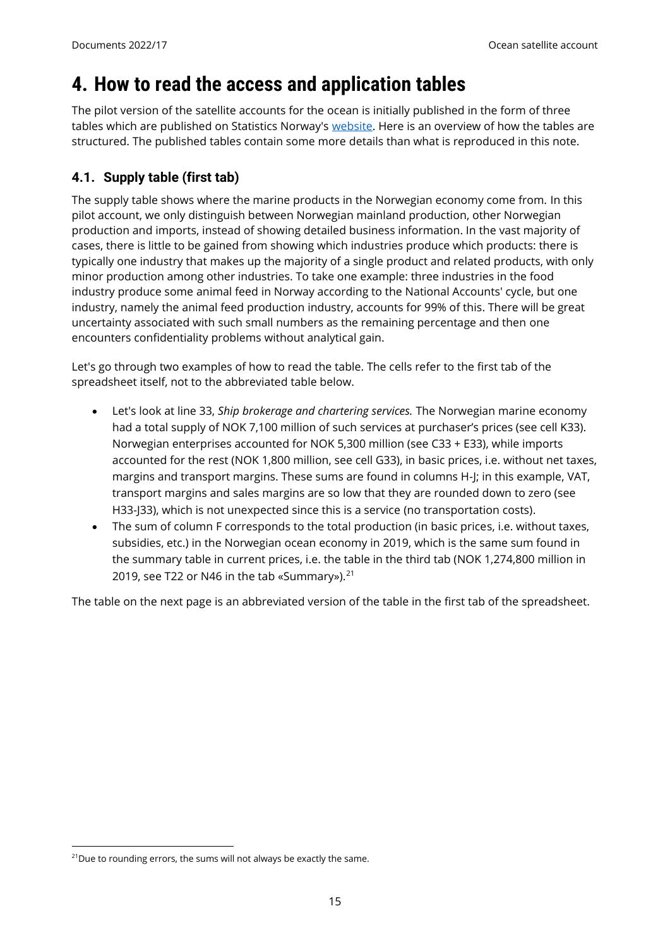## <span id="page-14-0"></span>**4. How to read the access and application tables**

The pilot version of the satellite accounts for the ocean is initially published in the form of three tables which are published on Statistics Norway's [website.](mailto:https://www.ssb.no/nasjonalregnskap-og-konjunkturer/nasjonalregnskap/artikler/satellittregnskap-for-hav) Here is an overview of how the tables are structured. The published tables contain some more details than what is reproduced in this note.

## <span id="page-14-1"></span>**4.1. Supply table (first tab)**

The supply table shows where the marine products in the Norwegian economy come from. In this pilot account, we only distinguish between Norwegian mainland production, other Norwegian production and imports, instead of showing detailed business information. In the vast majority of cases, there is little to be gained from showing which industries produce which products: there is typically one industry that makes up the majority of a single product and related products, with only minor production among other industries. To take one example: three industries in the food industry produce some animal feed in Norway according to the National Accounts' cycle, but one industry, namely the animal feed production industry, accounts for 99% of this. There will be great uncertainty associated with such small numbers as the remaining percentage and then one encounters confidentiality problems without analytical gain.

Let's go through two examples of how to read the table. The cells refer to the first tab of the spreadsheet itself, not to the abbreviated table below.

- Let's look at line 33, *Ship brokerage and chartering services.* The Norwegian marine economy had a total supply of NOK 7,100 million of such services at purchaser's prices (see cell K33). Norwegian enterprises accounted for NOK 5,300 million (see C33 + E33), while imports accounted for the rest (NOK 1,800 million, see cell G33), in basic prices, i.e. without net taxes, margins and transport margins. These sums are found in columns H-J; in this example, VAT, transport margins and sales margins are so low that they are rounded down to zero (see H33-J33), which is not unexpected since this is a service (no transportation costs).
- The sum of column F corresponds to the total production (in basic prices, i.e. without taxes, subsidies, etc.) in the Norwegian ocean economy in 2019, which is the same sum found in the summary table in current prices, i.e. the table in the third tab (NOK 1,274,800 million in 2019, see T22 or N46 in the tab «Summary»).<sup>21</sup>

The table on the next page is an abbreviated version of the table in the first tab of the spreadsheet.

 $\overline{a}$ 

 $21$ Due to rounding errors, the sums will not always be exactly the same.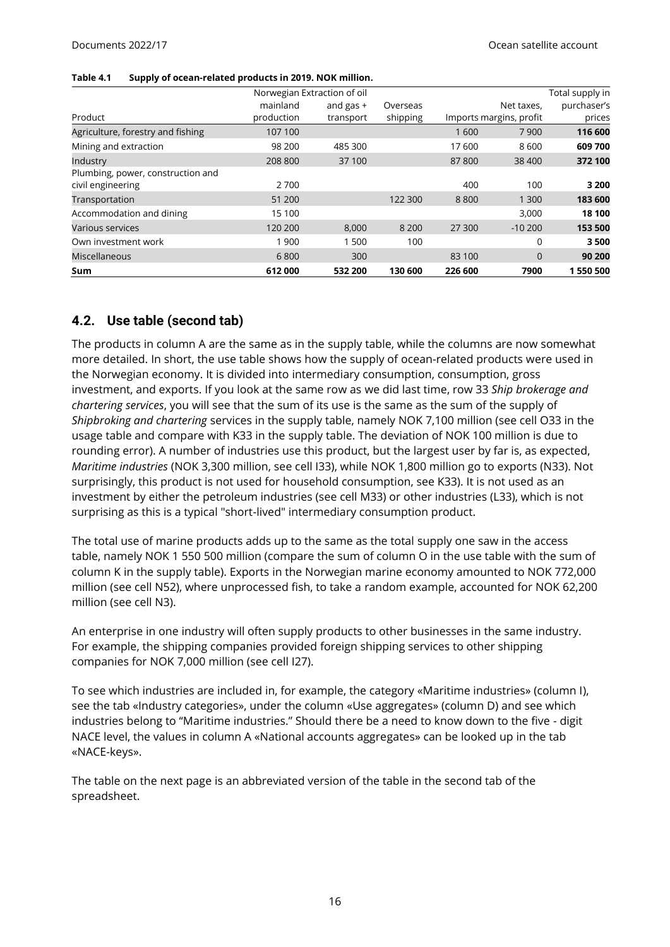#### **Table 4.1 Supply of ocean-related products in 2019. NOK million.**

|                                   |            | Norwegian Extraction of oil |          |         |                         | Total supply in |
|-----------------------------------|------------|-----------------------------|----------|---------|-------------------------|-----------------|
|                                   | mainland   | and gas $+$                 | Overseas |         | Net taxes.              | purchaser's     |
| Product                           | production | transport                   | shipping |         | Imports margins, profit | prices          |
| Agriculture, forestry and fishing | 107 100    |                             |          | 1600    | 7900                    | 116 600         |
| Mining and extraction             | 98 200     | 485 300                     |          | 17 600  | 8600                    | 609 700         |
| Industry                          | 208 800    | 37 100                      |          | 87800   | 38 400                  | 372 100         |
| Plumbing, power, construction and |            |                             |          |         |                         |                 |
| civil engineering                 | 2700       |                             |          | 400     | 100                     | 3 2 0 0         |
| Transportation                    | 51 200     |                             | 122 300  | 8800    | 1 300                   | 183 600         |
| Accommodation and dining          | 15 100     |                             |          |         | 3,000                   | 18 100          |
| Various services                  | 120 200    | 8.000                       | 8 2 0 0  | 27 300  | $-10,200$               | 153 500         |
| Own investment work               | 1900       | 1 500                       | 100      |         | $\Omega$                | 3500            |
| Miscellaneous                     | 6800       | 300                         |          | 83 100  | $\Omega$                | 90 200          |
| Sum                               | 612000     | 532 200                     | 130 600  | 226 600 | 7900                    | 1550500         |

#### <span id="page-15-0"></span>**4.2. Use table (second tab)**

The products in column A are the same as in the supply table, while the columns are now somewhat more detailed. In short, the use table shows how the supply of ocean-related products were used in the Norwegian economy. It is divided into intermediary consumption, consumption, gross investment, and exports. If you look at the same row as we did last time, row 33 *Ship brokerage and chartering services*, you will see that the sum of its use is the same as the sum of the supply of *Shipbroking and chartering* services in the supply table, namely NOK 7,100 million (see cell O33 in the usage table and compare with K33 in the supply table. The deviation of NOK 100 million is due to rounding error). A number of industries use this product, but the largest user by far is, as expected, *Maritime industries* (NOK 3,300 million, see cell I33), while NOK 1,800 million go to exports (N33). Not surprisingly, this product is not used for household consumption, see K33). It is not used as an investment by either the petroleum industries (see cell M33) or other industries (L33), which is not surprising as this is a typical "short-lived" intermediary consumption product.

The total use of marine products adds up to the same as the total supply one saw in the access table, namely NOK 1 550 500 million (compare the sum of column O in the use table with the sum of column K in the supply table). Exports in the Norwegian marine economy amounted to NOK 772,000 million (see cell N52), where unprocessed fish, to take a random example, accounted for NOK 62,200 million (see cell N3).

An enterprise in one industry will often supply products to other businesses in the same industry. For example, the shipping companies provided foreign shipping services to other shipping companies for NOK 7,000 million (see cell I27).

To see which industries are included in, for example, the category «Maritime industries» (column I), see the tab «Industry categories», under the column «Use aggregates» (column D) and see which industries belong to "Maritime industries." Should there be a need to know down to the five - digit NACE level, the values in column A «National accounts aggregates» can be looked up in the tab «NACE-keys».

The table on the next page is an abbreviated version of the table in the second tab of the spreadsheet.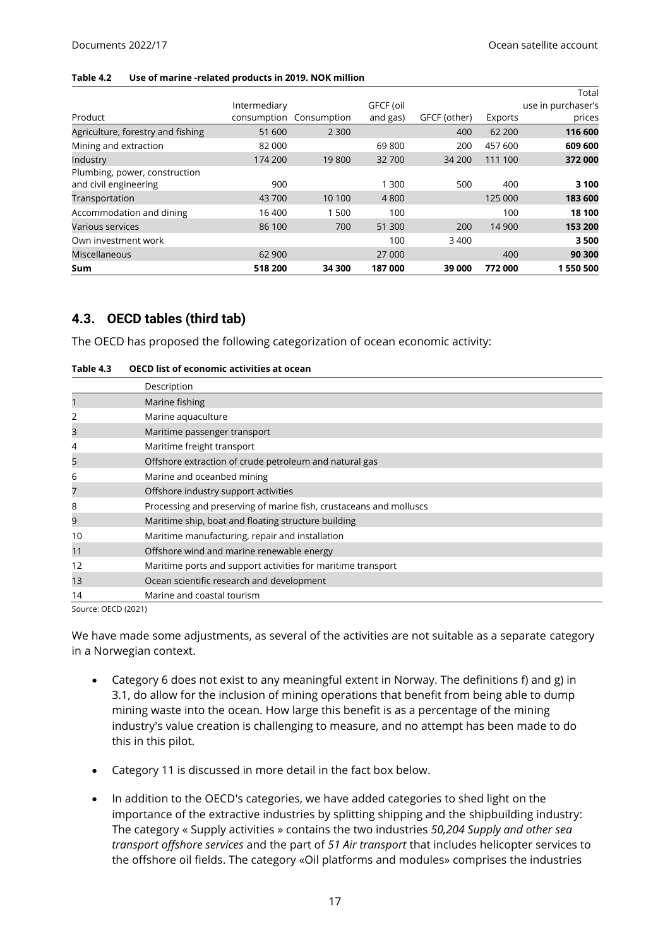#### **Table 4.2 Use of marine -related products in 2019. NOK million**

|                                                        |              |                         |           |              |         | Total              |
|--------------------------------------------------------|--------------|-------------------------|-----------|--------------|---------|--------------------|
|                                                        | Intermediary |                         | GFCF (oil |              |         | use in purchaser's |
| Product                                                |              | consumption Consumption | and gas)  | GFCF (other) | Exports | prices             |
| Agriculture, forestry and fishing                      | 51 600       | 2 3 0 0                 |           | 400          | 62 200  | 116 600            |
| Mining and extraction                                  | 82 000       |                         | 69800     | 200          | 457 600 | 609 600            |
| Industry                                               | 174 200      | 19800                   | 32 700    | 34 200       | 111 100 | 372 000            |
| Plumbing, power, construction<br>and civil engineering | 900          |                         | 1 300     | 500          | 400     | 3 100              |
| Transportation                                         | 43 700       | 10 100                  | 4 8 0 0   |              | 125 000 | 183 600            |
| Accommodation and dining                               | 16 400       | 500                     | 100       |              | 100     | 18 100             |
| Various services                                       | 86 100       | 700                     | 51 300    | 200          | 14 900  | 153 200            |
| Own investment work                                    |              |                         | 100       | 3 4 0 0      |         | 3500               |
| Miscellaneous                                          | 62 900       |                         | 27 000    |              | 400     | 90 300             |
| <b>Sum</b>                                             | 518 200      | 34 300                  | 187 000   | 39 000       | 772 000 | 1550500            |

#### <span id="page-16-0"></span>**4.3. OECD tables (third tab)**

The OECD has proposed the following categorization of ocean economic activity:

| Table 4.3 | <b>OECD list of economic activities at ocean</b> |
|-----------|--------------------------------------------------|
|-----------|--------------------------------------------------|

|    | Description                                                        |
|----|--------------------------------------------------------------------|
|    | Marine fishing                                                     |
|    | Marine aquaculture                                                 |
| 3  | Maritime passenger transport                                       |
| 4  | Maritime freight transport                                         |
| 5  | Offshore extraction of crude petroleum and natural gas             |
| 6  | Marine and oceanbed mining                                         |
| 7  | Offshore industry support activities                               |
| 8  | Processing and preserving of marine fish, crustaceans and molluscs |
| 9  | Maritime ship, boat and floating structure building                |
| 10 | Maritime manufacturing, repair and installation                    |
| 11 | Offshore wind and marine renewable energy                          |
| 12 | Maritime ports and support activities for maritime transport       |
| 13 | Ocean scientific research and development                          |
| 14 | Marine and coastal tourism                                         |

Source: OECD (2021)

We have made some adjustments, as several of the activities are not suitable as a separate category in a Norwegian context.

- Category 6 does not exist to any meaningful extent in Norway. The definitions f) and g) in 3.1, do allow for the inclusion of mining operations that benefit from being able to dump mining waste into the ocean. How large this benefit is as a percentage of the mining industry's value creation is challenging to measure, and no attempt has been made to do this in this pilot.
- Category 11 is discussed in more detail in the fact box below.
- In addition to the OECD's categories, we have added categories to shed light on the importance of the extractive industries by splitting shipping and the shipbuilding industry: The category « Supply activities » contains the two industries *50,204 Supply and other sea transport offshore services* and the part of *51 Air transport* that includes helicopter services to the offshore oil fields. The category «Oil platforms and modules» comprises the industries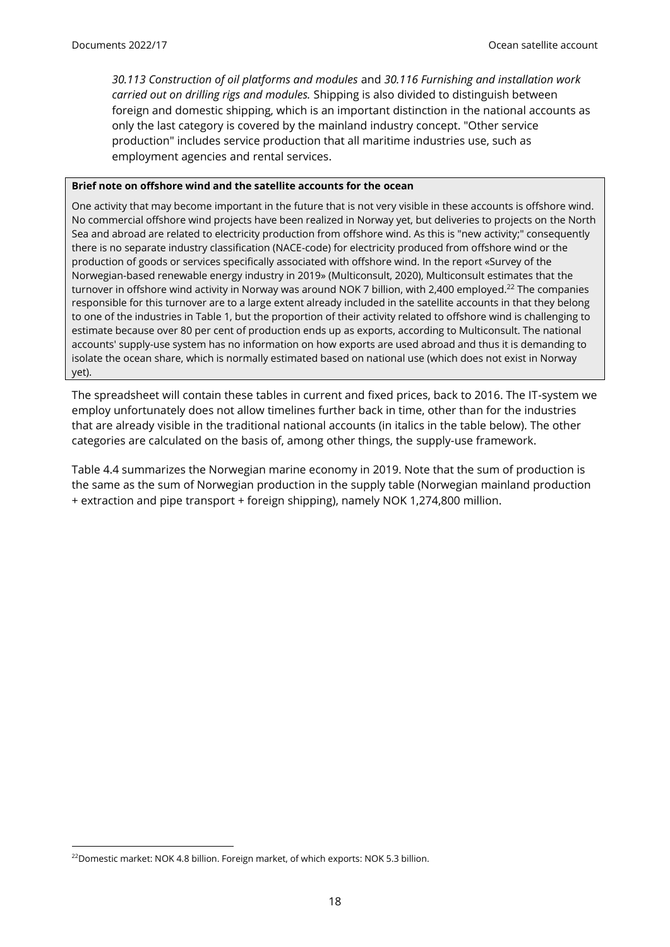*30.113 Construction of oil platforms and modules* and *30.116 Furnishing and installation work carried out on drilling rigs and modules.* Shipping is also divided to distinguish between foreign and domestic shipping, which is an important distinction in the national accounts as only the last category is covered by the mainland industry concept. "Other service production" includes service production that all maritime industries use, such as employment agencies and rental services.

#### **Brief note on offshore wind and the satellite accounts for the ocean**

One activity that may become important in the future that is not very visible in these accounts is offshore wind. No commercial offshore wind projects have been realized in Norway yet, but deliveries to projects on the North Sea and abroad are related to electricity production from offshore wind. As this is "new activity;" consequently there is no separate industry classification (NACE-code) for electricity produced from offshore wind or the production of goods or services specifically associated with offshore wind. In the report «Survey of the Norwegian-based renewable energy industry in 2019» (Multiconsult, 2020), Multiconsult estimates that the turnover in offshore wind activity in Norway was around NOK 7 billion, with 2,400 employed. <sup>22</sup> The companies responsible for this turnover are to a large extent already included in the satellite accounts in that they belong to one of the industries in Table 1, but the proportion of their activity related to offshore wind is challenging to estimate because over 80 per cent of production ends up as exports, according to Multiconsult. The national accounts' supply-use system has no information on how exports are used abroad and thus it is demanding to isolate the ocean share, which is normally estimated based on national use (which does not exist in Norway yet).

The spreadsheet will contain these tables in current and fixed prices, back to 2016. The IT-system we employ unfortunately does not allow timelines further back in time, other than for the industries that are already visible in the traditional national accounts (in italics in the table below). The other categories are calculated on the basis of, among other things, the supply-use framework.

Table 4.4 summarizes the Norwegian marine economy in 2019. Note that the sum of production is the same as the sum of Norwegian production in the supply table (Norwegian mainland production + extraction and pipe transport + foreign shipping), namely NOK 1,274,800 million.

 $\overline{a}$ 

<sup>&</sup>lt;sup>22</sup>Domestic market: NOK 4.8 billion. Foreign market, of which exports: NOK 5.3 billion.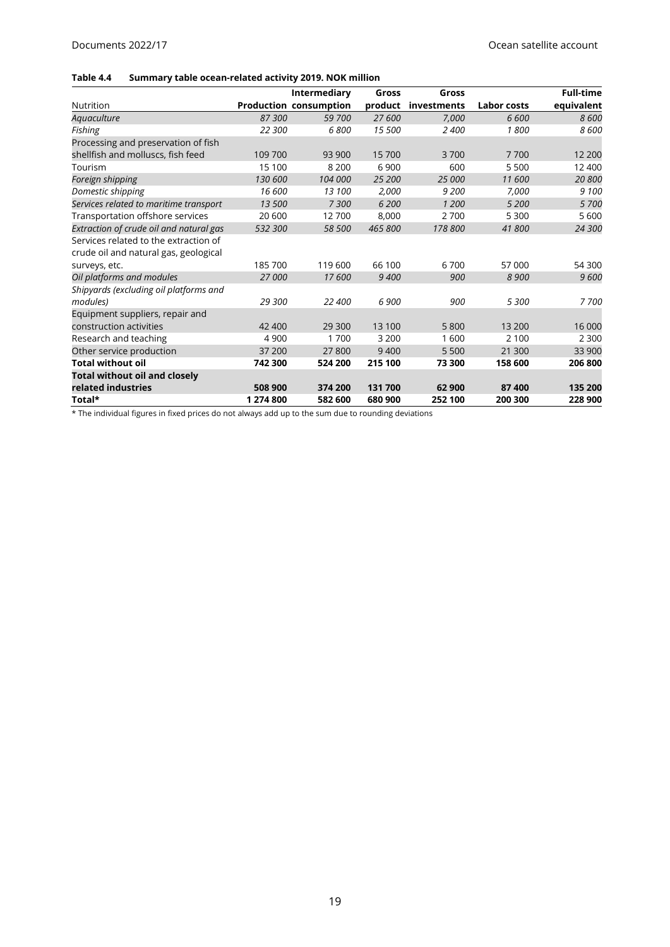#### **Table 4.4 Summary table ocean-related activity 2019. NOK million**

|                                         |           | Intermediary                  | Gross   | Gross       |             | <b>Full-time</b> |
|-----------------------------------------|-----------|-------------------------------|---------|-------------|-------------|------------------|
| <b>Nutrition</b>                        |           | <b>Production consumption</b> | product | investments | Labor costs | equivalent       |
| Aguaculture                             | 87 300    | 59 700                        | 27 600  | 7,000       | 6 600       | 8600             |
| Fishing                                 | 22 300    | 6800                          | 15 500  | 2400        | 1800        | 8600             |
| Processing and preservation of fish     |           |                               |         |             |             |                  |
| shellfish and molluscs, fish feed       | 109 700   | 93 900                        | 15700   | 3700        | 7700        | 12 200           |
| Tourism                                 | 15 100    | 8 2 0 0                       | 6 9 0 0 | 600         | 5 5 0 0     | 12 400           |
| Foreign shipping                        | 130 600   | 104 000                       | 25 200  | 25 000      | 11 600      | 20 800           |
| Domestic shipping                       | 16 600    | 13 100                        | 2,000   | 9 200       | 7,000       | 9 100            |
| Services related to maritime transport  | 13 500    | 7300                          | 6 200   | 1 200       | 5 200       | 5 700            |
| Transportation offshore services        | 20 600    | 12700                         | 8,000   | 2700        | 5 3 0 0     | 5 600            |
| Extraction of crude oil and natural gas | 532 300   | 58 500                        | 465 800 | 178 800     | 41800       | 24 300           |
| Services related to the extraction of   |           |                               |         |             |             |                  |
| crude oil and natural gas, geological   |           |                               |         |             |             |                  |
| surveys, etc.                           | 185700    | 119 600                       | 66 100  | 6700        | 57 000      | 54 300           |
| Oil platforms and modules               | 27 000    | 17600                         | 9 400   | 900         | 8 9 0 0     | 9600             |
| Shipyards (excluding oil platforms and  |           |                               |         |             |             |                  |
| modules)                                | 29 300    | 22 400                        | 6 900   | 900         | 5 300       | 7700             |
| Equipment suppliers, repair and         |           |                               |         |             |             |                  |
| construction activities                 | 42 400    | 29 300                        | 13 100  | 5800        | 13 200      | 16 000           |
| Research and teaching                   | 4 9 0 0   | 1700                          | 3 2 0 0 | 1600        | 2 100       | 2 3 0 0          |
| Other service production                | 37 200    | 27800                         | 9400    | 5 5 0 0     | 21 300      | 33 900           |
| <b>Total without oil</b>                | 742 300   | 524 200                       | 215 100 | 73 300      | 158 600     | 206 800          |
| <b>Total without oil and closely</b>    |           |                               |         |             |             |                  |
| related industries                      | 508 900   | 374 200                       | 131700  | 62 900      | 87 400      | 135 200          |
| Total*                                  | 1 274 800 | 582 600                       | 680 900 | 252 100     | 200 300     | 228 900          |

\* The individual figures in fixed prices do not always add up to the sum due to rounding deviations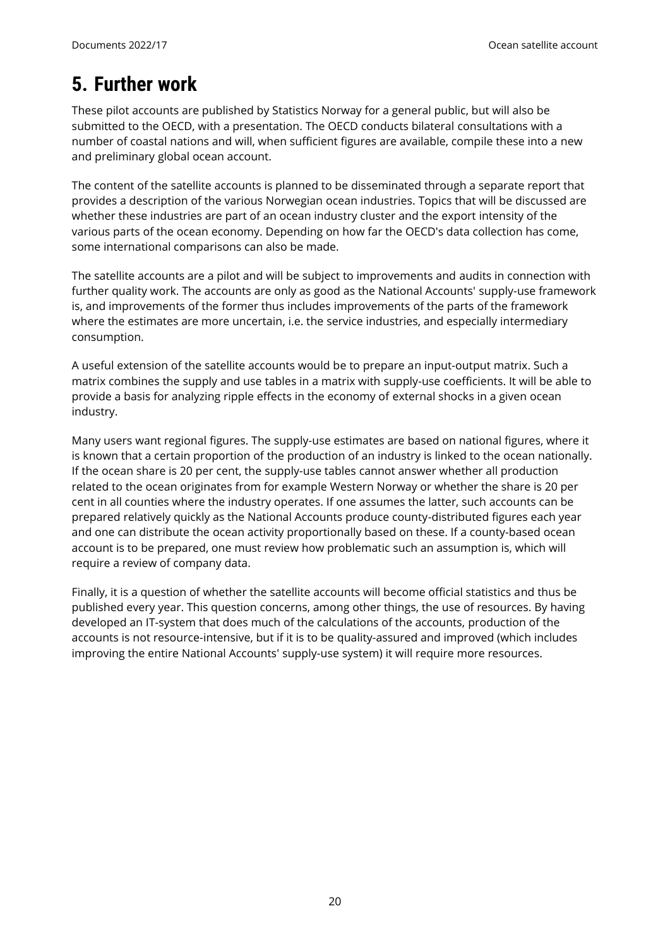# <span id="page-19-0"></span>**5. Further work**

These pilot accounts are published by Statistics Norway for a general public, but will also be submitted to the OECD, with a presentation. The OECD conducts bilateral consultations with a number of coastal nations and will, when sufficient figures are available, compile these into a new and preliminary global ocean account.

The content of the satellite accounts is planned to be disseminated through a separate report that provides a description of the various Norwegian ocean industries. Topics that will be discussed are whether these industries are part of an ocean industry cluster and the export intensity of the various parts of the ocean economy. Depending on how far the OECD's data collection has come, some international comparisons can also be made.

The satellite accounts are a pilot and will be subject to improvements and audits in connection with further quality work. The accounts are only as good as the National Accounts' supply-use framework is, and improvements of the former thus includes improvements of the parts of the framework where the estimates are more uncertain, i.e. the service industries, and especially intermediary consumption.

A useful extension of the satellite accounts would be to prepare an input-output matrix. Such a matrix combines the supply and use tables in a matrix with supply-use coefficients. It will be able to provide a basis for analyzing ripple effects in the economy of external shocks in a given ocean industry.

Many users want regional figures. The supply-use estimates are based on national figures, where it is known that a certain proportion of the production of an industry is linked to the ocean nationally. If the ocean share is 20 per cent, the supply-use tables cannot answer whether all production related to the ocean originates from for example Western Norway or whether the share is 20 per cent in all counties where the industry operates. If one assumes the latter, such accounts can be prepared relatively quickly as the National Accounts produce county-distributed figures each year and one can distribute the ocean activity proportionally based on these. If a county-based ocean account is to be prepared, one must review how problematic such an assumption is, which will require a review of company data.

Finally, it is a question of whether the satellite accounts will become official statistics and thus be published every year. This question concerns, among other things, the use of resources. By having developed an IT-system that does much of the calculations of the accounts, production of the accounts is not resource-intensive, but if it is to be quality-assured and improved (which includes improving the entire National Accounts' supply-use system) it will require more resources.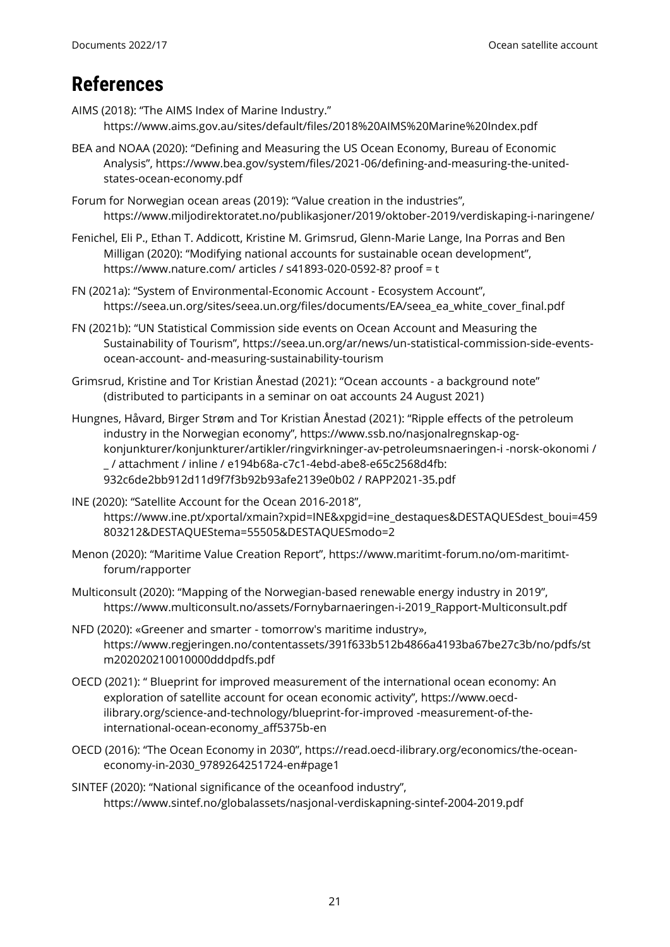## <span id="page-20-0"></span>**References**

- AIMS (2018): "The AIMS Index of Marine Industry." https://www.aims.gov.au/sites/default/files/2018%20AIMS%20Marine%20Index.pdf
- BEA and NOAA (2020): "Defining and Measuring the US Ocean Economy, Bureau of Economic Analysis", [https://www.bea.gov/system/files/2021-06/defining-and-measuring-the-united](https://www.bea.gov/system/files/2021-06/defining-and-measuring-the-united-states-ocean-economy.pdf)[states-ocean-economy.pdf](https://www.bea.gov/system/files/2021-06/defining-and-measuring-the-united-states-ocean-economy.pdf)
- Forum for Norwegian ocean areas (2019): "Value creation in the industries", https://www.miljodirektoratet.no/publikasjoner/2019/oktober-2019/verdiskaping-i-naringene/
- Fenichel, Eli P., Ethan T. Addicott, Kristine M. Grimsrud, Glenn-Marie Lange, Ina Porras and Ben Milligan (2020): "Modifying national accounts for sustainable ocean development", [https://www.nature.com/ articles / s41893-020-0592-8? proof = t](https://www.nature.com/articles/s41893-020-0592-8?proof=t)
- FN (2021a): "System of Environmental-Economic Account Ecosystem Account", [https://seea.un.org/sites/seea.un.org/files/documents/EA/seea\\_ea\\_white\\_cover\\_final.pdf](https://seea.un.org/sites/seea.un.org/files/documents/EA/seea_ea_white_cover_final.pdf)
- FN (2021b): "UN Statistical Commission side events on Ocean Account and Measuring the Sustainability of Tourism", https://seea.un.org/ar/news/un-statistical-commission-side-eventsocean-account- and-measuring-sustainability-tourism
- Grimsrud, Kristine and Tor Kristian Ånestad (2021): "Ocean accounts a background note" (distributed to participants in a seminar on oat accounts 24 August 2021)
- Hungnes, Håvard, Birger Strøm and Tor Kristian Ånestad (2021): "Ripple effects of the petroleum industry in the Norwegian economy", https://www.ssb.no/nasjonalregnskap-ogkonjunkturer/konjunkturer/artikler/ringvirkninger-av-petroleumsnaeringen-i -norsk-okonomi / \_ / attachment / inline / e194b68a-c7c1-4ebd-abe8-e65c2568d4fb: 932c6de2bb912d11d9f7f3b92b93afe2139e0b02 / RAPP2021-35.pdf
- INE (2020): "Satellite Account for the Ocean 2016-2018", [https://www.ine.pt/xportal/xmain?xpid=INE&xpgid=ine\\_destaques&DESTAQUESdest\\_boui=459](https://www.ine.pt/xportal/xmain?xpid=INE&xpgid=ine_destaques&DESTAQUESdest_boui=459803212&DESTAQUEStema=55505&DESTAQUESmodo=2) [803212&DESTAQUEStema=55505&DESTAQUESmodo=2](https://www.ine.pt/xportal/xmain?xpid=INE&xpgid=ine_destaques&DESTAQUESdest_boui=459803212&DESTAQUEStema=55505&DESTAQUESmodo=2)
- Menon (2020): "Maritime Value Creation Report", https://www.maritimt-forum.no/om-maritimtforum/rapporter
- Multiconsult (2020): "Mapping of the Norwegian-based renewable energy industry in 2019", [https://www.multiconsult.no/assets/Fornybarnaeringen-i-2019\\_Rapport-Multiconsult.pdf](https://www.multiconsult.no/assets/Fornybarnaeringen-i-2019_Rapport-Multiconsult.pdf)
- NFD (2020): «Greener and smarter tomorrow's maritime industry», https://www.regjeringen.no/contentassets/391f633b512b4866a4193ba67be27c3b/no/pdfs/st m202020210010000dddpdfs.pdf
- OECD (2021): " Blueprint for improved measurement of the international ocean economy: An exploration of satellite account for ocean economic activity", [https://www.oecd](https://www.oecd-ilibrary.org/science-and-technology/blueprint-for-improved-measurement-of-the-international-ocean-economy_aff5375b-en)[ilibrary.org/science-and-technology/blueprint-for-improved -measurement-of-the](https://www.oecd-ilibrary.org/science-and-technology/blueprint-for-improved-measurement-of-the-international-ocean-economy_aff5375b-en)[international-ocean-economy\\_aff5375b-en](https://www.oecd-ilibrary.org/science-and-technology/blueprint-for-improved-measurement-of-the-international-ocean-economy_aff5375b-en)
- OECD (2016): "The Ocean Economy in 2030", https://read.oecd-ilibrary.org/economics/the-oceaneconomy-in-2030\_9789264251724-en#page1
- SINTEF (2020): "National significance of the oceanfood industry", https://www.sintef.no/globalassets/nasjonal-verdiskapning-sintef-2004-2019.pdf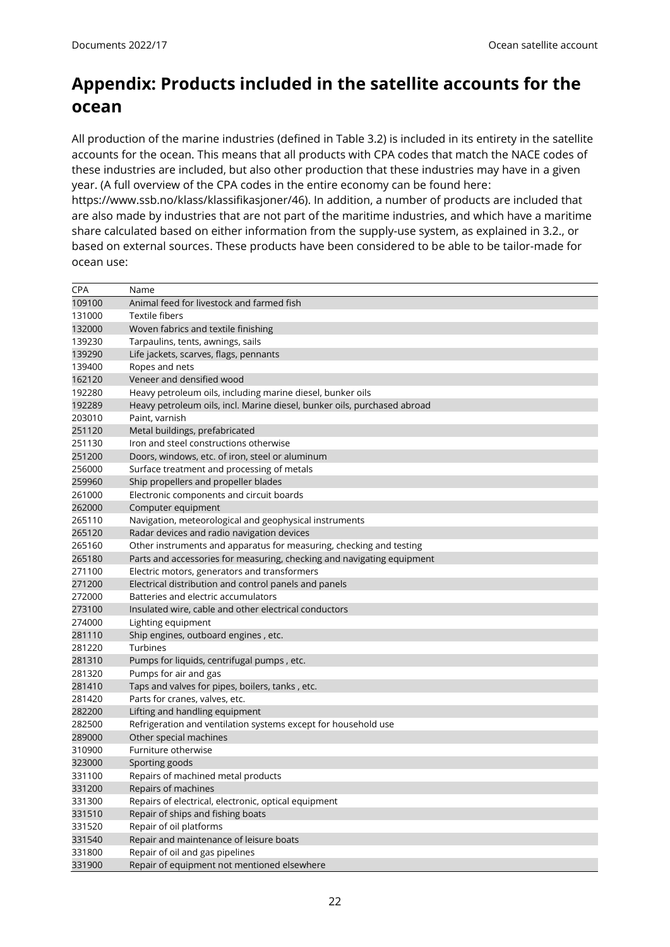## <span id="page-21-0"></span>**Appendix: Products included in the satellite accounts for the ocean**

All production of the marine industries (defined in Table 3.2) is included in its entirety in the satellite accounts for the ocean. This means that all products with CPA codes that match the NACE codes of these industries are included, but also other production that these industries may have in a given year. (A full overview of the CPA codes in the entire economy can be found here: https://www.ssb.no/klass/klassifikasjoner/46). In addition, a number of products are included that

are also made by industries that are not part of the maritime industries, and which have a maritime share calculated based on either information from the supply-use system, as explained in 3.2., or based on external sources. These products have been considered to be able to be tailor-made for ocean use:

| CPA    | Name                                                                     |
|--------|--------------------------------------------------------------------------|
| 109100 | Animal feed for livestock and farmed fish                                |
| 131000 | Textile fibers                                                           |
| 132000 | Woven fabrics and textile finishing                                      |
| 139230 | Tarpaulins, tents, awnings, sails                                        |
| 139290 | Life jackets, scarves, flags, pennants                                   |
| 139400 | Ropes and nets                                                           |
| 162120 | Veneer and densified wood                                                |
| 192280 | Heavy petroleum oils, including marine diesel, bunker oils               |
| 192289 | Heavy petroleum oils, incl. Marine diesel, bunker oils, purchased abroad |
| 203010 | Paint, varnish                                                           |
| 251120 | Metal buildings, prefabricated                                           |
| 251130 | Iron and steel constructions otherwise                                   |
| 251200 | Doors, windows, etc. of iron, steel or aluminum                          |
| 256000 | Surface treatment and processing of metals                               |
| 259960 | Ship propellers and propeller blades                                     |
| 261000 | Electronic components and circuit boards                                 |
| 262000 | Computer equipment                                                       |
| 265110 | Navigation, meteorological and geophysical instruments                   |
| 265120 | Radar devices and radio navigation devices                               |
| 265160 | Other instruments and apparatus for measuring, checking and testing      |
| 265180 | Parts and accessories for measuring, checking and navigating equipment   |
| 271100 | Electric motors, generators and transformers                             |
| 271200 | Electrical distribution and control panels and panels                    |
| 272000 | Batteries and electric accumulators                                      |
| 273100 | Insulated wire, cable and other electrical conductors                    |
| 274000 | Lighting equipment                                                       |
| 281110 | Ship engines, outboard engines, etc.                                     |
| 281220 | Turbines                                                                 |
| 281310 | Pumps for liquids, centrifugal pumps, etc.                               |
| 281320 | Pumps for air and gas                                                    |
| 281410 | Taps and valves for pipes, boilers, tanks, etc.                          |
| 281420 | Parts for cranes, valves, etc.                                           |
| 282200 | Lifting and handling equipment                                           |
| 282500 | Refrigeration and ventilation systems except for household use           |
| 289000 | Other special machines                                                   |
| 310900 | Furniture otherwise                                                      |
| 323000 | Sporting goods                                                           |
| 331100 | Repairs of machined metal products                                       |
| 331200 | Repairs of machines                                                      |
| 331300 | Repairs of electrical, electronic, optical equipment                     |
| 331510 | Repair of ships and fishing boats                                        |
| 331520 | Repair of oil platforms                                                  |
| 331540 | Repair and maintenance of leisure boats                                  |
| 331800 | Repair of oil and gas pipelines                                          |
| 331900 | Repair of equipment not mentioned elsewhere                              |